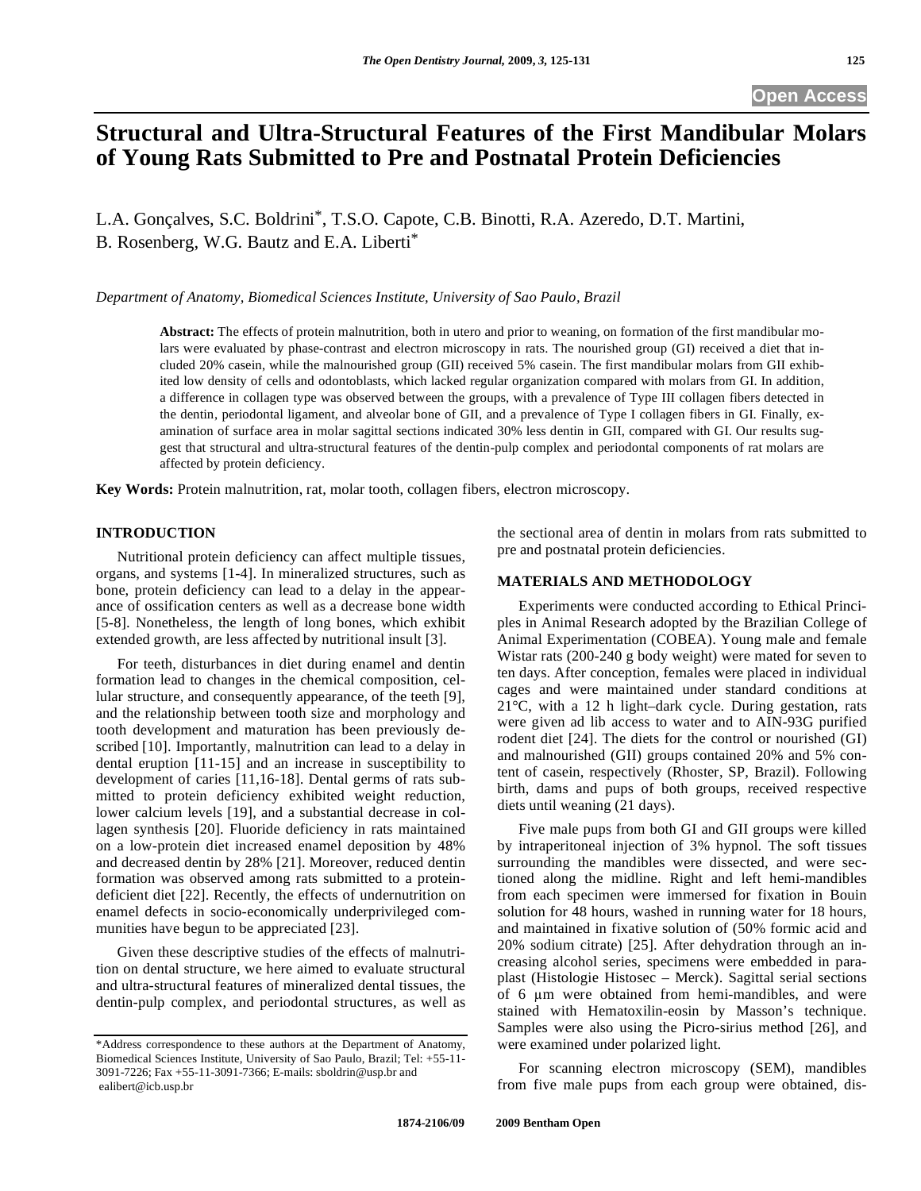# **Structural and Ultra-Structural Features of the First Mandibular Molars of Young Rats Submitted to Pre and Postnatal Protein Deficiencies**

L.A. Gonçalves, S.C. Boldrini\*, T.S.O. Capote, C.B. Binotti, R.A. Azeredo, D.T. Martini, B. Rosenberg, W.G. Bautz and E.A. Liberti\*

*Department of Anatomy, Biomedical Sciences Institute, University of Sao Paulo, Brazil* 

**Abstract:** The effects of protein malnutrition, both in utero and prior to weaning, on formation of the first mandibular molars were evaluated by phase-contrast and electron microscopy in rats. The nourished group (GI) received a diet that included 20% casein, while the malnourished group (GII) received 5% casein. The first mandibular molars from GII exhibited low density of cells and odontoblasts, which lacked regular organization compared with molars from GI. In addition, a difference in collagen type was observed between the groups, with a prevalence of Type III collagen fibers detected in the dentin, periodontal ligament, and alveolar bone of GII, and a prevalence of Type I collagen fibers in GI. Finally, examination of surface area in molar sagittal sections indicated 30% less dentin in GII, compared with GI. Our results suggest that structural and ultra-structural features of the dentin-pulp complex and periodontal components of rat molars are affected by protein deficiency.

**Key Words:** Protein malnutrition, rat, molar tooth, collagen fibers, electron microscopy.

## **INTRODUCTION**

 Nutritional protein deficiency can affect multiple tissues, organs, and systems [1-4]. In mineralized structures, such as bone, protein deficiency can lead to a delay in the appearance of ossification centers as well as a decrease bone width [5-8]. Nonetheless, the length of long bones, which exhibit extended growth, are less affected by nutritional insult [3].

 For teeth, disturbances in diet during enamel and dentin formation lead to changes in the chemical composition, cellular structure, and consequently appearance, of the teeth [9], and the relationship between tooth size and morphology and tooth development and maturation has been previously described [10]. Importantly, malnutrition can lead to a delay in dental eruption [11-15] and an increase in susceptibility to development of caries [11,16-18]. Dental germs of rats submitted to protein deficiency exhibited weight reduction, lower calcium levels [19], and a substantial decrease in collagen synthesis [20]. Fluoride deficiency in rats maintained on a low-protein diet increased enamel deposition by 48% and decreased dentin by 28% [21]. Moreover, reduced dentin formation was observed among rats submitted to a proteindeficient diet [22]. Recently, the effects of undernutrition on enamel defects in socio-economically underprivileged communities have begun to be appreciated [23].

 Given these descriptive studies of the effects of malnutrition on dental structure, we here aimed to evaluate structural and ultra-structural features of mineralized dental tissues, the dentin-pulp complex, and periodontal structures, as well as the sectional area of dentin in molars from rats submitted to pre and postnatal protein deficiencies.

#### **MATERIALS AND METHODOLOGY**

 Experiments were conducted according to Ethical Principles in Animal Research adopted by the Brazilian College of Animal Experimentation (COBEA). Young male and female Wistar rats (200-240 g body weight) were mated for seven to ten days. After conception, females were placed in individual cages and were maintained under standard conditions at 21°C, with a 12 h light–dark cycle. During gestation, rats were given ad lib access to water and to AIN-93G purified rodent diet [24]. The diets for the control or nourished (GI) and malnourished (GII) groups contained 20% and 5% content of casein, respectively (Rhoster, SP, Brazil). Following birth, dams and pups of both groups, received respective diets until weaning (21 days).

 Five male pups from both GI and GII groups were killed by intraperitoneal injection of 3% hypnol. The soft tissues surrounding the mandibles were dissected, and were sectioned along the midline. Right and left hemi-mandibles from each specimen were immersed for fixation in Bouin solution for 48 hours, washed in running water for 18 hours, and maintained in fixative solution of (50% formic acid and 20% sodium citrate) [25]. After dehydration through an increasing alcohol series, specimens were embedded in paraplast (Histologie Histosec – Merck). Sagittal serial sections of 6 µm were obtained from hemi-mandibles, and were stained with Hematoxilin-eosin by Masson's technique. Samples were also using the Picro-sirius method [26], and were examined under polarized light.

 For scanning electron microscopy (SEM), mandibles from five male pups from each group were obtained, dis-

<sup>\*</sup>Address correspondence to these authors at the Department of Anatomy, Biomedical Sciences Institute, University of Sao Paulo, Brazil; Tel: +55-11- 3091-7226; Fax +55-11-3091-7366; E-mails: sboldrin@usp.br and ealibert@icb.usp.br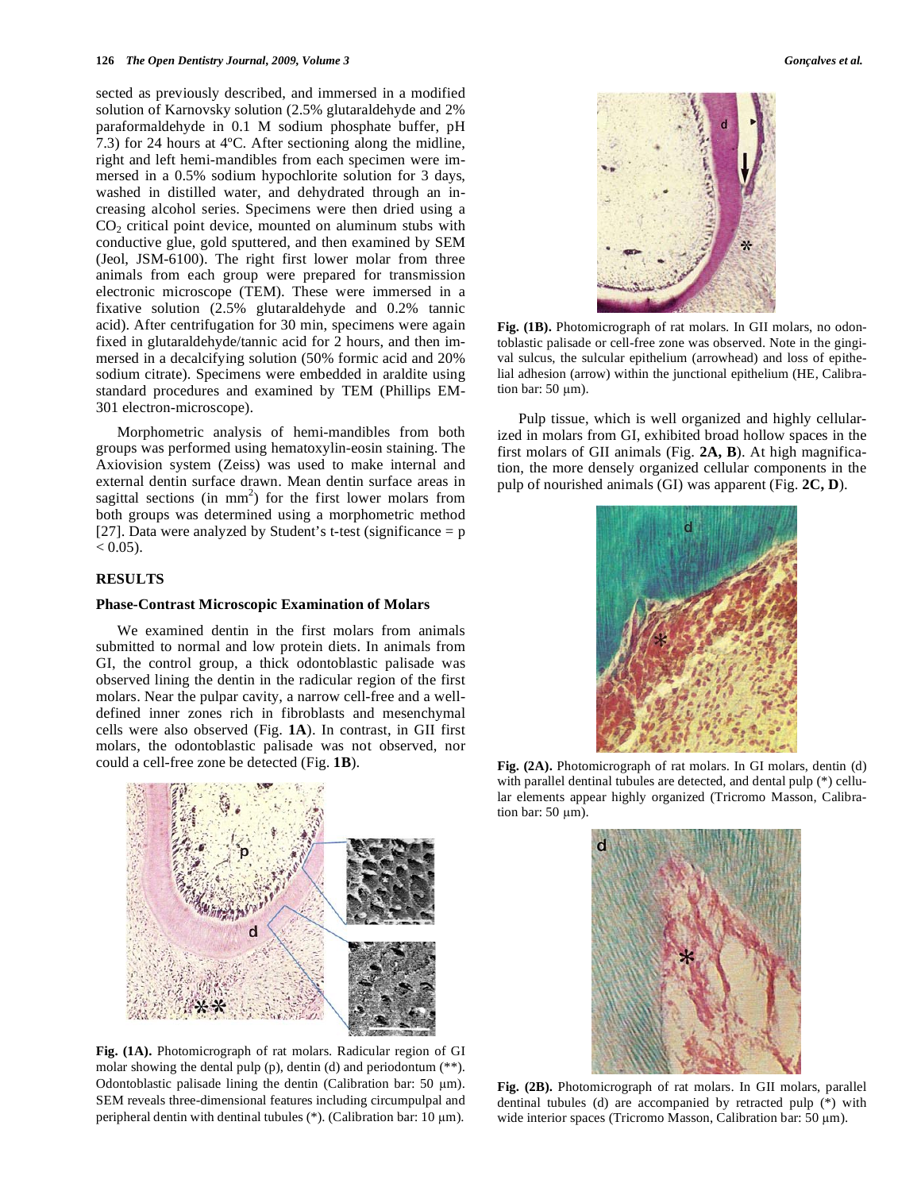sected as previously described, and immersed in a modified solution of Karnovsky solution (2.5% glutaraldehyde and 2% paraformaldehyde in 0.1 M sodium phosphate buffer, pH 7.3) for 24 hours at 4ºC. After sectioning along the midline, right and left hemi-mandibles from each specimen were immersed in a 0.5% sodium hypochlorite solution for 3 days, washed in distilled water, and dehydrated through an increasing alcohol series. Specimens were then dried using a  $CO<sub>2</sub>$  critical point device, mounted on aluminum stubs with conductive glue, gold sputtered, and then examined by SEM (Jeol, JSM-6100). The right first lower molar from three animals from each group were prepared for transmission electronic microscope (TEM). These were immersed in a fixative solution (2.5% glutaraldehyde and 0.2% tannic acid). After centrifugation for 30 min, specimens were again fixed in glutaraldehyde/tannic acid for 2 hours, and then immersed in a decalcifying solution (50% formic acid and 20% sodium citrate). Specimens were embedded in araldite using standard procedures and examined by TEM (Phillips EM-301 electron-microscope).

 Morphometric analysis of hemi-mandibles from both groups was performed using hematoxylin-eosin staining. The Axiovision system (Zeiss) was used to make internal and external dentin surface drawn. Mean dentin surface areas in sagittal sections (in  $mm<sup>2</sup>$ ) for the first lower molars from both groups was determined using a morphometric method [27]. Data were analyzed by Student's t-test (significance  $= p$ )  $< 0.05$ ).

#### **RESULTS**

#### **Phase-Contrast Microscopic Examination of Molars**

 We examined dentin in the first molars from animals submitted to normal and low protein diets. In animals from GI, the control group, a thick odontoblastic palisade was observed lining the dentin in the radicular region of the first molars. Near the pulpar cavity, a narrow cell-free and a welldefined inner zones rich in fibroblasts and mesenchymal cells were also observed (Fig. **1A**). In contrast, in GII first molars, the odontoblastic palisade was not observed, nor could a cell-free zone be detected (Fig. **1B**).



**Fig. (1A).** Photomicrograph of rat molars. Radicular region of GI molar showing the dental pulp (p), dentin (d) and periodontum (\*\*). Odontoblastic palisade lining the dentin (Calibration bar: 50  $\mu$ m). SEM reveals three-dimensional features including circumpulpal and peripheral dentin with dentinal tubules (\*). (Calibration bar:  $10 \mu m$ ).



**Fig. (1B).** Photomicrograph of rat molars. In GII molars, no odontoblastic palisade or cell-free zone was observed. Note in the gingival sulcus, the sulcular epithelium (arrowhead) and loss of epithelial adhesion (arrow) within the junctional epithelium (HE, Calibration bar:  $50 \mu m$ ).

 Pulp tissue, which is well organized and highly cellularized in molars from GI, exhibited broad hollow spaces in the first molars of GII animals (Fig. **2A, B**). At high magnification, the more densely organized cellular components in the pulp of nourished animals (GI) was apparent (Fig. **2C, D**).



**Fig. (2A).** Photomicrograph of rat molars. In GI molars, dentin (d) with parallel dentinal tubules are detected, and dental pulp (\*) cellular elements appear highly organized (Tricromo Masson, Calibration bar:  $50 \mu m$ ).



**Fig. (2B).** Photomicrograph of rat molars. In GII molars, parallel dentinal tubules (d) are accompanied by retracted pulp (\*) with wide interior spaces (Tricromo Masson, Calibration bar:  $50 \mu m$ ).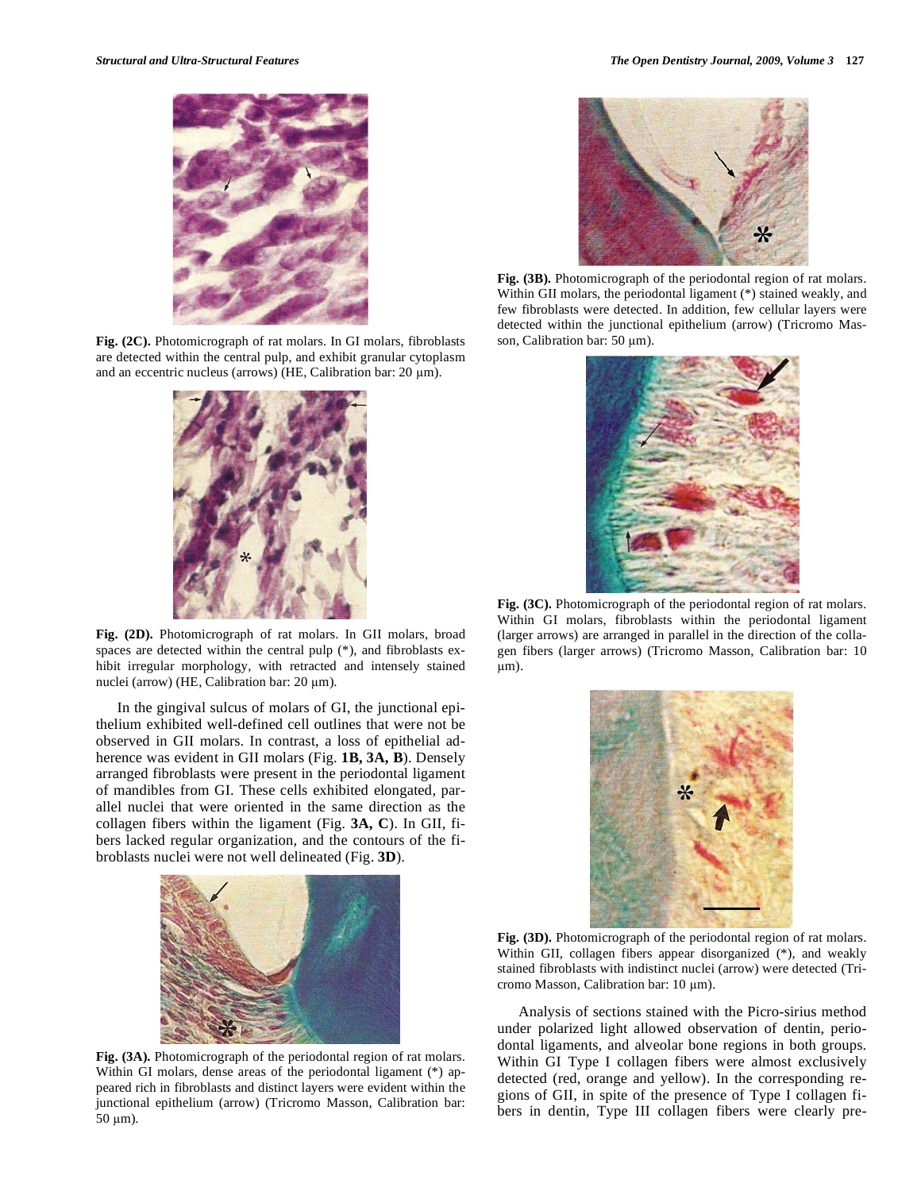

**Fig. (2C).** Photomicrograph of rat molars. In GI molars, fibroblasts are detected within the central pulp, and exhibit granular cytoplasm and an eccentric nucleus (arrows) (HE, Calibration bar:  $20 \mu m$ ).



**Fig. (2D).** Photomicrograph of rat molars. In GII molars, broad spaces are detected within the central pulp (\*), and fibroblasts exhibit irregular morphology, with retracted and intensely stained nuclei (arrow) (HE, Calibration bar:  $20 \mu m$ ).

 In the gingival sulcus of molars of GI, the junctional epithelium exhibited well-defined cell outlines that were not be observed in GII molars. In contrast, a loss of epithelial adherence was evident in GII molars (Fig. **1B, 3A, B**). Densely arranged fibroblasts were present in the periodontal ligament of mandibles from GI. These cells exhibited elongated, parallel nuclei that were oriented in the same direction as the collagen fibers within the ligament (Fig. **3A, C**). In GII, fibers lacked regular organization, and the contours of the fibroblasts nuclei were not well delineated (Fig. **3D**).



**Fig. (3A).** Photomicrograph of the periodontal region of rat molars. Within GI molars, dense areas of the periodontal ligament (\*) appeared rich in fibroblasts and distinct layers were evident within the junctional epithelium (arrow) (Tricromo Masson, Calibration bar:  $50 \mu m$ ).



**Fig. (3B).** Photomicrograph of the periodontal region of rat molars. Within GII molars, the periodontal ligament (\*) stained weakly, and few fibroblasts were detected. In addition, few cellular layers were detected within the junctional epithelium (arrow) (Tricromo Masson, Calibration bar: 50 µm).



**Fig. (3C).** Photomicrograph of the periodontal region of rat molars. Within GI molars, fibroblasts within the periodontal ligament (larger arrows) are arranged in parallel in the direction of the collagen fibers (larger arrows) (Tricromo Masson, Calibration bar: 10  $\mu$ m).



**Fig. (3D).** Photomicrograph of the periodontal region of rat molars. Within GII, collagen fibers appear disorganized (\*), and weakly stained fibroblasts with indistinct nuclei (arrow) were detected (Tricromo Masson, Calibration bar: 10 µm).

 Analysis of sections stained with the Picro-sirius method under polarized light allowed observation of dentin, periodontal ligaments, and alveolar bone regions in both groups. Within GI Type I collagen fibers were almost exclusively detected (red, orange and yellow). In the corresponding regions of GII, in spite of the presence of Type I collagen fibers in dentin, Type III collagen fibers were clearly pre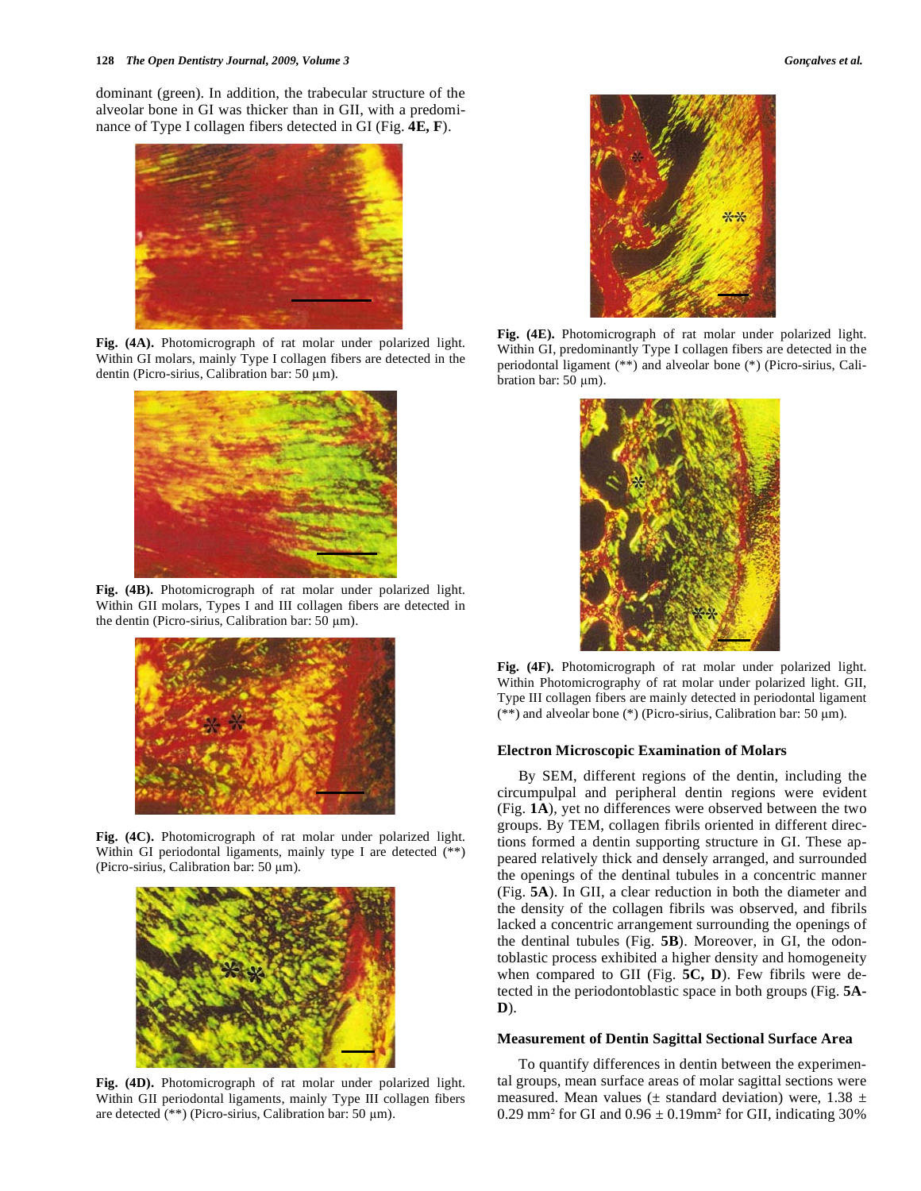dominant (green). In addition, the trabecular structure of the alveolar bone in GI was thicker than in GII, with a predominance of Type I collagen fibers detected in GI (Fig. **4E, F**).



**Fig. (4A).** Photomicrograph of rat molar under polarized light. Within GI molars, mainly Type I collagen fibers are detected in the dentin (Picro-sirius, Calibration bar: 50 µm).



**Fig. (4B).** Photomicrograph of rat molar under polarized light. Within GII molars, Types I and III collagen fibers are detected in the dentin (Picro-sirius, Calibration bar:  $50 \mu m$ ).



**Fig. (4C).** Photomicrograph of rat molar under polarized light. Within GI periodontal ligaments, mainly type I are detected (\*\*) (Picro-sirius, Calibration bar: 50 µm).



**Fig. (4D).** Photomicrograph of rat molar under polarized light. Within GII periodontal ligaments, mainly Type III collagen fibers are detected  $(**)$  (Picro-sirius, Calibration bar: 50  $\mu$ m).



**Fig. (4E).** Photomicrograph of rat molar under polarized light. Within GI, predominantly Type I collagen fibers are detected in the periodontal ligament (\*\*) and alveolar bone (\*) (Picro-sirius, Calibration bar:  $50 \mu m$ ).



**Fig. (4F).** Photomicrograph of rat molar under polarized light. Within Photomicrography of rat molar under polarized light. GII, Type III collagen fibers are mainly detected in periodontal ligament (\*\*) and alveolar bone (\*) (Picro-sirius, Calibration bar: 50  $\mu$ m).

#### **Electron Microscopic Examination of Molars**

 By SEM, different regions of the dentin, including the circumpulpal and peripheral dentin regions were evident (Fig. **1A**), yet no differences were observed between the two groups. By TEM, collagen fibrils oriented in different directions formed a dentin supporting structure in GI. These appeared relatively thick and densely arranged, and surrounded the openings of the dentinal tubules in a concentric manner (Fig. **5A**). In GII, a clear reduction in both the diameter and the density of the collagen fibrils was observed, and fibrils lacked a concentric arrangement surrounding the openings of the dentinal tubules (Fig. **5B**). Moreover, in GI, the odontoblastic process exhibited a higher density and homogeneity when compared to GII (Fig. **5C, D**). Few fibrils were detected in the periodontoblastic space in both groups (Fig. **5A-D**).

#### **Measurement of Dentin Sagittal Sectional Surface Area**

 To quantify differences in dentin between the experimental groups, mean surface areas of molar sagittal sections were measured. Mean values ( $\pm$  standard deviation) were, 1.38  $\pm$ 0.29 mm<sup>2</sup> for GI and  $0.96 \pm 0.19$ mm<sup>2</sup> for GII, indicating 30%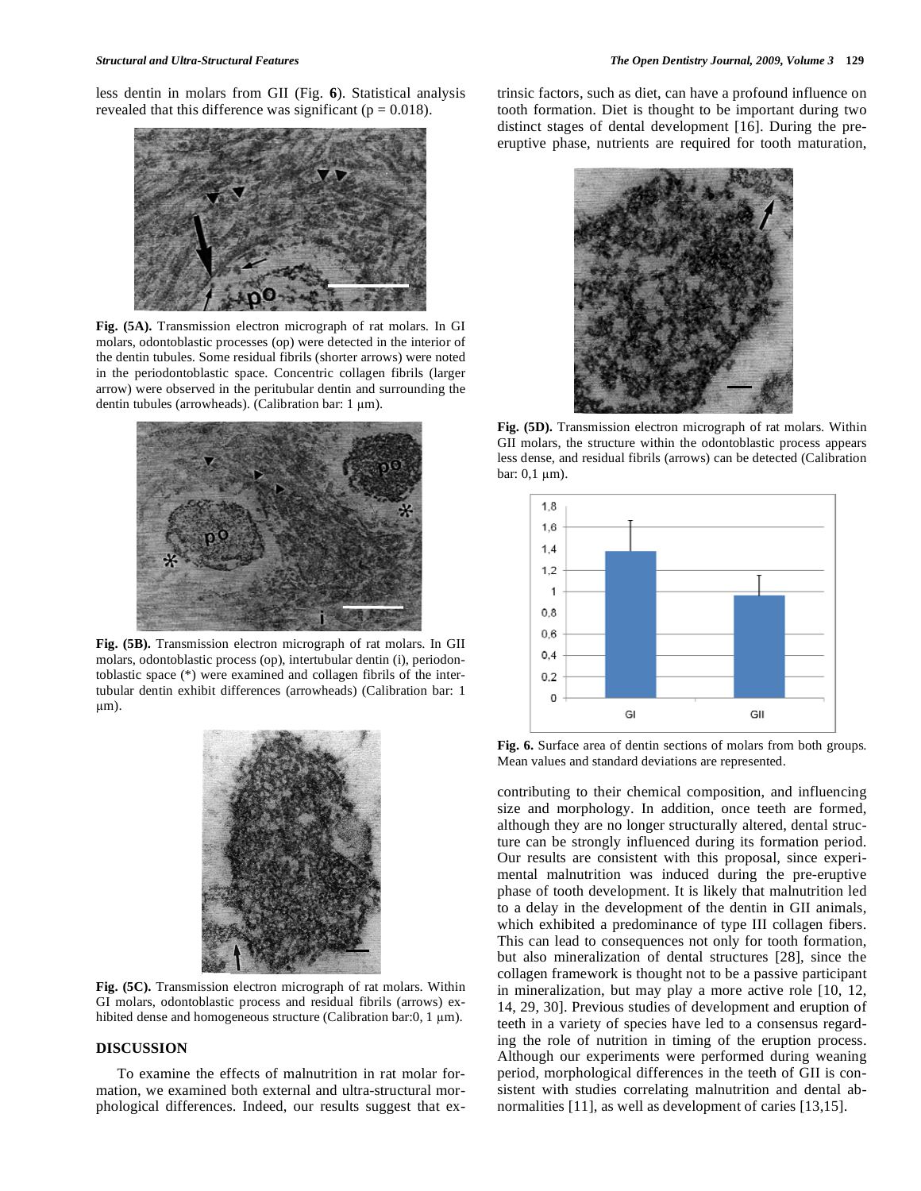less dentin in molars from GII (Fig. **6**). Statistical analysis revealed that this difference was significant ( $p = 0.018$ ).



**Fig. (5A).** Transmission electron micrograph of rat molars. In GI molars, odontoblastic processes (op) were detected in the interior of the dentin tubules. Some residual fibrils (shorter arrows) were noted in the periodontoblastic space. Concentric collagen fibrils (larger arrow) were observed in the peritubular dentin and surrounding the dentin tubules (arrowheads). (Calibration bar: 1 µm).



**Fig. (5B).** Transmission electron micrograph of rat molars. In GII molars, odontoblastic process (op), intertubular dentin (i), periodontoblastic space (\*) were examined and collagen fibrils of the intertubular dentin exhibit differences (arrowheads) (Calibration bar: 1 m).



**Fig. (5C).** Transmission electron micrograph of rat molars. Within GI molars, odontoblastic process and residual fibrils (arrows) exhibited dense and homogeneous structure (Calibration bar:0, 1  $\mu$ m).

### **DISCUSSION**

 To examine the effects of malnutrition in rat molar formation, we examined both external and ultra-structural morphological differences. Indeed, our results suggest that extrinsic factors, such as diet, can have a profound influence on tooth formation. Diet is thought to be important during two distinct stages of dental development [16]. During the preeruptive phase, nutrients are required for tooth maturation,



**Fig. (5D).** Transmission electron micrograph of rat molars. Within GII molars, the structure within the odontoblastic process appears less dense, and residual fibrils (arrows) can be detected (Calibration bar:  $0,1 \mu m$ ).



**Fig. 6.** Surface area of dentin sections of molars from both groups. Mean values and standard deviations are represented.

contributing to their chemical composition, and influencing size and morphology. In addition, once teeth are formed, although they are no longer structurally altered, dental structure can be strongly influenced during its formation period. Our results are consistent with this proposal, since experimental malnutrition was induced during the pre-eruptive phase of tooth development. It is likely that malnutrition led to a delay in the development of the dentin in GII animals, which exhibited a predominance of type III collagen fibers. This can lead to consequences not only for tooth formation, but also mineralization of dental structures [28], since the collagen framework is thought not to be a passive participant in mineralization, but may play a more active role [10, 12, 14, 29, 30]. Previous studies of development and eruption of teeth in a variety of species have led to a consensus regarding the role of nutrition in timing of the eruption process. Although our experiments were performed during weaning period, morphological differences in the teeth of GII is consistent with studies correlating malnutrition and dental abnormalities [11], as well as development of caries [13,15].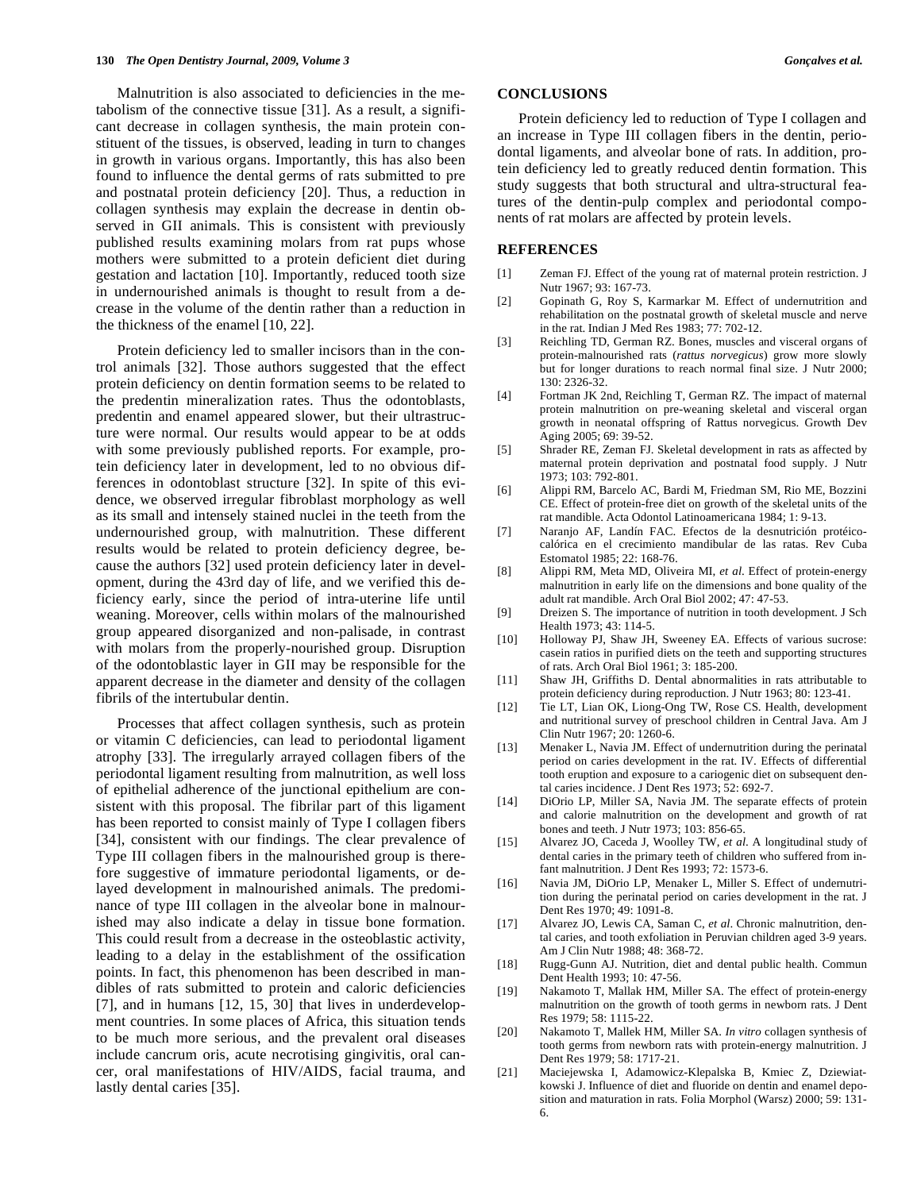Malnutrition is also associated to deficiencies in the metabolism of the connective tissue [31]. As a result, a significant decrease in collagen synthesis, the main protein constituent of the tissues, is observed, leading in turn to changes in growth in various organs. Importantly, this has also been found to influence the dental germs of rats submitted to pre and postnatal protein deficiency [20]. Thus, a reduction in collagen synthesis may explain the decrease in dentin observed in GII animals. This is consistent with previously published results examining molars from rat pups whose mothers were submitted to a protein deficient diet during gestation and lactation [10]. Importantly, reduced tooth size in undernourished animals is thought to result from a decrease in the volume of the dentin rather than a reduction in the thickness of the enamel [10, 22].

 Protein deficiency led to smaller incisors than in the control animals [32]. Those authors suggested that the effect protein deficiency on dentin formation seems to be related to the predentin mineralization rates. Thus the odontoblasts, predentin and enamel appeared slower, but their ultrastructure were normal. Our results would appear to be at odds with some previously published reports. For example, protein deficiency later in development, led to no obvious differences in odontoblast structure [32]. In spite of this evidence, we observed irregular fibroblast morphology as well as its small and intensely stained nuclei in the teeth from the undernourished group, with malnutrition. These different results would be related to protein deficiency degree, because the authors [32] used protein deficiency later in development, during the 43rd day of life, and we verified this deficiency early, since the period of intra-uterine life until weaning. Moreover, cells within molars of the malnourished group appeared disorganized and non-palisade, in contrast with molars from the properly-nourished group. Disruption of the odontoblastic layer in GII may be responsible for the apparent decrease in the diameter and density of the collagen fibrils of the intertubular dentin.

 Processes that affect collagen synthesis, such as protein or vitamin C deficiencies, can lead to periodontal ligament atrophy [33]. The irregularly arrayed collagen fibers of the periodontal ligament resulting from malnutrition, as well loss of epithelial adherence of the junctional epithelium are consistent with this proposal. The fibrilar part of this ligament has been reported to consist mainly of Type I collagen fibers [34], consistent with our findings. The clear prevalence of Type III collagen fibers in the malnourished group is therefore suggestive of immature periodontal ligaments, or delayed development in malnourished animals. The predominance of type III collagen in the alveolar bone in malnourished may also indicate a delay in tissue bone formation. This could result from a decrease in the osteoblastic activity, leading to a delay in the establishment of the ossification points. In fact, this phenomenon has been described in mandibles of rats submitted to protein and caloric deficiencies [7], and in humans [12, 15, 30] that lives in underdevelopment countries. In some places of Africa, this situation tends to be much more serious, and the prevalent oral diseases include cancrum oris, acute necrotising gingivitis, oral cancer, oral manifestations of HIV/AIDS, facial trauma, and lastly dental caries [35].

## **CONCLUSIONS**

 Protein deficiency led to reduction of Type I collagen and an increase in Type III collagen fibers in the dentin, periodontal ligaments, and alveolar bone of rats. In addition, protein deficiency led to greatly reduced dentin formation. This study suggests that both structural and ultra-structural features of the dentin-pulp complex and periodontal components of rat molars are affected by protein levels.

#### **REFERENCES**

- [1] Zeman FJ. Effect of the young rat of maternal protein restriction. J Nutr 1967; 93: 167-73.
- [2] Gopinath G, Roy S, Karmarkar M. Effect of undernutrition and rehabilitation on the postnatal growth of skeletal muscle and nerve in the rat. Indian J Med Res 1983; 77: 702-12.
- [3] Reichling TD, German RZ. Bones, muscles and visceral organs of protein-malnourished rats (*rattus norvegicus*) grow more slowly but for longer durations to reach normal final size. J Nutr 2000; 130: 2326-32.
- [4] Fortman JK 2nd, Reichling T, German RZ. The impact of maternal protein malnutrition on pre-weaning skeletal and visceral organ growth in neonatal offspring of Rattus norvegicus. Growth Dev Aging 2005; 69: 39-52.
- [5] Shrader RE, Zeman FJ. Skeletal development in rats as affected by maternal protein deprivation and postnatal food supply. J Nutr 1973; 103: 792-801.
- [6] Alippi RM, Barcelo AC, Bardi M, Friedman SM, Rio ME, Bozzini CE. Effect of protein-free diet on growth of the skeletal units of the rat mandible. Acta Odontol Latinoamericana 1984; 1: 9-13.
- [7] Naranjo AF, Landín FAC. Efectos de la desnutrición protéicocalórica en el crecimiento mandibular de las ratas. Rev Cuba Estomatol 1985; 22: 168-76.
- [8] Alippi RM, Meta MD, Oliveira MI, *et al*. Effect of protein-energy malnutrition in early life on the dimensions and bone quality of the adult rat mandible. Arch Oral Biol 2002; 47: 47-53.
- [9] Dreizen S. The importance of nutrition in tooth development. J Sch Health 1973; 43: 114-5.
- [10] Holloway PJ, Shaw JH, Sweeney EA. Effects of various sucrose: casein ratios in purified diets on the teeth and supporting structures of rats. Arch Oral Biol 1961; 3: 185-200.
- [11] Shaw JH, Griffiths D. Dental abnormalities in rats attributable to protein deficiency during reproduction. J Nutr 1963; 80: 123-41.
- [12] Tie LT, Lian OK, Liong-Ong TW, Rose CS. Health, development and nutritional survey of preschool children in Central Java. Am J Clin Nutr 1967; 20: 1260-6.
- [13] Menaker L, Navia JM. Effect of undernutrition during the perinatal period on caries development in the rat. IV. Effects of differential tooth eruption and exposure to a cariogenic diet on subsequent dental caries incidence. J Dent Res 1973; 52: 692-7.
- [14] DiOrio LP, Miller SA, Navia JM. The separate effects of protein and calorie malnutrition on the development and growth of rat bones and teeth. J Nutr 1973; 103: 856-65.
- [15] Alvarez JO, Caceda J, Woolley TW, *et al*. A longitudinal study of dental caries in the primary teeth of children who suffered from infant malnutrition. J Dent Res 1993; 72: 1573-6.
- [16] Navia JM, DiOrio LP, Menaker L, Miller S. Effect of undernutrition during the perinatal period on caries development in the rat. J Dent Res 1970; 49: 1091-8.
- [17] Alvarez JO, Lewis CA, Saman C, *et al*. Chronic malnutrition, dental caries, and tooth exfoliation in Peruvian children aged 3-9 years. Am J Clin Nutr 1988; 48: 368-72.
- [18] Rugg-Gunn AJ. Nutrition, diet and dental public health. Commun Dent Health 1993; 10: 47-56.
- [19] Nakamoto T, Mallak HM, Miller SA. The effect of protein-energy malnutrition on the growth of tooth germs in newborn rats. J Dent Res 1979; 58: 1115-22.
- [20] Nakamoto T, Mallek HM, Miller SA. *In vitro* collagen synthesis of tooth germs from newborn rats with protein-energy malnutrition. J Dent Res 1979; 58: 1717-21.
- [21] Maciejewska I, Adamowicz-Klepalska B, Kmiec Z, Dziewiatkowski J. Influence of diet and fluoride on dentin and enamel deposition and maturation in rats. Folia Morphol (Warsz) 2000; 59: 131- 6.